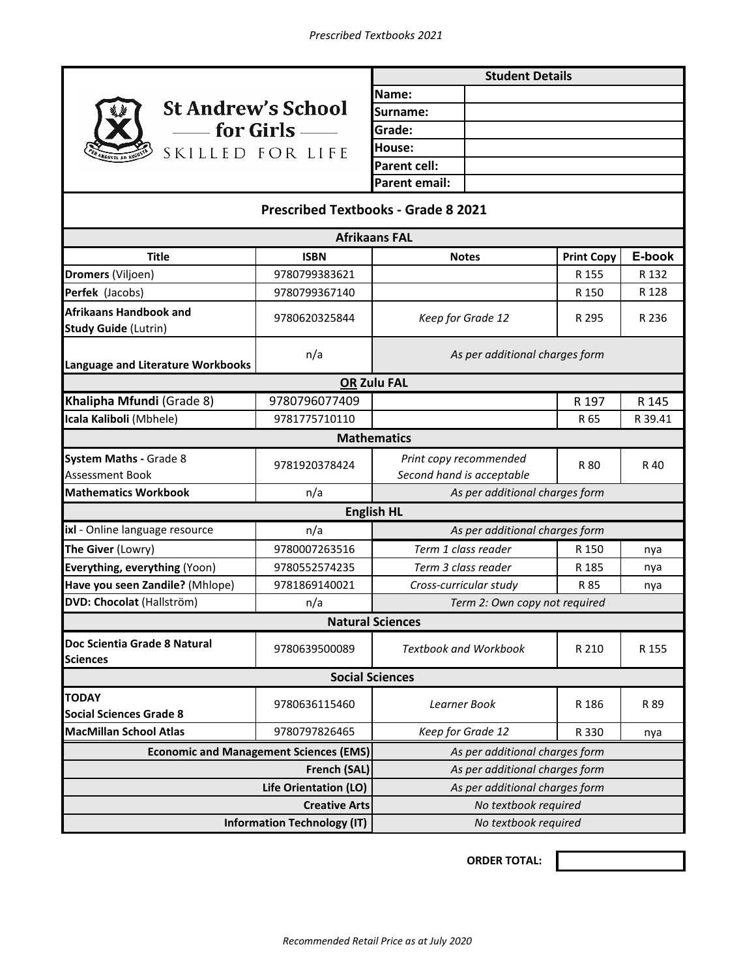

| <b>Student Details</b> |  |  |
|------------------------|--|--|
| Name:                  |  |  |
| Surname:               |  |  |
| Grade:                 |  |  |
| House:                 |  |  |
| Parent cell:           |  |  |
| Parent email:          |  |  |

## **Prescribed Textbooks - Grade 8 2021**

| <b>Afrikaans FAL</b>                                         |               |                                                     |                   |         |  |  |
|--------------------------------------------------------------|---------------|-----------------------------------------------------|-------------------|---------|--|--|
| <b>Title</b>                                                 | <b>ISBN</b>   | <b>Notes</b>                                        | <b>Print Copy</b> | E-book  |  |  |
| Dromers (Viljoen)                                            | 9780799383621 |                                                     | R 155             | R 132   |  |  |
| Perfek (Jacobs)                                              | 9780799367140 |                                                     | R 150             | R 128   |  |  |
| <b>Afrikaans Handbook and</b><br><b>Study Guide (Lutrin)</b> | 9780620325844 | Keep for Grade 12                                   | R 295             | R 236   |  |  |
| Language and Literature Workbooks                            | n/a           | As per additional charges form                      |                   |         |  |  |
| <b>OR Zulu FAL</b>                                           |               |                                                     |                   |         |  |  |
| Khalipha Mfundi (Grade 8)                                    | 9780796077409 |                                                     | R 197             | R 145   |  |  |
| Icala Kaliboli (Mbhele)                                      | 9781775710110 |                                                     | R 65              | R 39.41 |  |  |
| <b>Mathematics</b>                                           |               |                                                     |                   |         |  |  |
| <b>System Maths - Grade 8</b><br>Assessment Book             | 9781920378424 | Print copy recommended<br>Second hand is acceptable | R 80              | R 40    |  |  |
| <b>Mathematics Workbook</b>                                  | n/a           | As per additional charges form                      |                   |         |  |  |
|                                                              |               | <b>English HL</b>                                   |                   |         |  |  |
| ixl - Online language resource                               | n/a           | As per additional charges form                      |                   |         |  |  |
| The Giver (Lowry)                                            | 9780007263516 | Term 1 class reader                                 | R 150             | nya     |  |  |
| Everything, everything (Yoon)                                | 9780552574235 | Term 3 class reader                                 | R 185             | nya     |  |  |
| Have you seen Zandile? (Mhlope)                              | 9781869140021 | Cross-curricular study                              | R 85              | nya     |  |  |
| DVD: Chocolat (Hallström)                                    | n/a           | Term 2: Own copy not required                       |                   |         |  |  |
| <b>Natural Sciences</b>                                      |               |                                                     |                   |         |  |  |
| Doc Scientia Grade 8 Natural<br><b>Sciences</b>              | 9780639500089 | <b>Textbook and Workbook</b>                        | R 210             | R 155   |  |  |
| <b>Social Sciences</b>                                       |               |                                                     |                   |         |  |  |
| <b>TODAY</b><br><b>Social Sciences Grade 8</b>               | 9780636115460 | Learner Book                                        | R 186             | R 89    |  |  |
| <b>MacMillan School Atlas</b>                                | 9780797826465 | Keep for Grade 12                                   | R 330             | nya     |  |  |
| <b>Economic and Management Sciences (EMS)</b>                |               | As per additional charges form                      |                   |         |  |  |
| French (SAL)                                                 |               | As per additional charges form                      |                   |         |  |  |
| Life Orientation (LO)                                        |               | As per additional charges form                      |                   |         |  |  |
| <b>Creative Arts</b>                                         |               | No textbook required                                |                   |         |  |  |
| <b>Information Technology (IT)</b>                           |               | No textbook required                                |                   |         |  |  |

**ORDER TOTAL:**